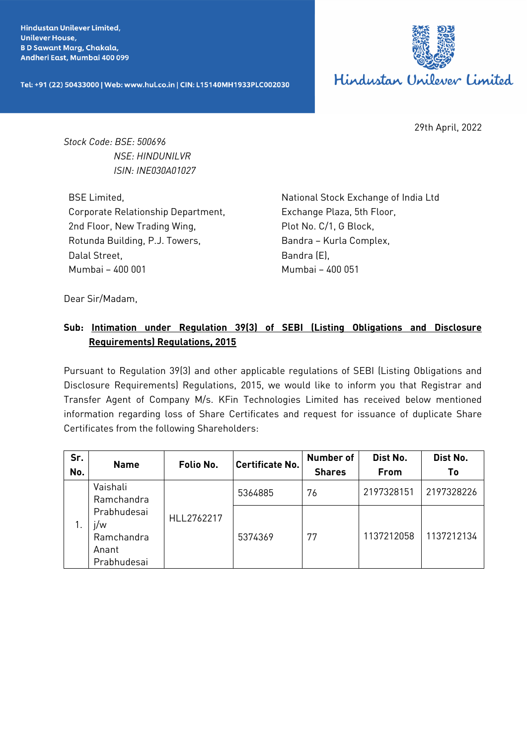**Hindustan Unilever Limited. Unilever House, BD Sawant Marg, Chakala,** Andheri East, Mumbai 400 099

Tel: +91 (22) 50433000 | Web: www.hul.co.in | CIN: L15140MH1933PLC002030



29th April, 2022

*Stock Code: BSE: 500696 NSE: HINDUNILVR ISIN: INE030A01027*

BSE Limited, Corporate Relationship Department, 2nd Floor, New Trading Wing, Rotunda Building, P.J. Towers, Dalal Street, Mumbai – 400 001

National Stock Exchange of India Ltd Exchange Plaza, 5th Floor, Plot No. C/1, G Block, Bandra – Kurla Complex, Bandra (E), Mumbai – 400 051

Dear Sir/Madam,

## **Sub: Intimation under Regulation 39(3) of SEBI (Listing Obligations and Disclosure Requirements) Regulations, 2015**

Pursuant to Regulation 39(3) and other applicable regulations of SEBI (Listing Obligations and Disclosure Requirements) Regulations, 2015, we would like to inform you that Registrar and Transfer Agent of Company M/s. KFin Technologies Limited has received below mentioned information regarding loss of Share Certificates and request for issuance of duplicate Share Certificates from the following Shareholders:

| Sr.<br>No. | <b>Name</b>                                              | Folio No.  | <b>Certificate No.</b> | <b>Number of</b><br><b>Shares</b> | Dist No.<br>From | Dist No.<br>Τo |
|------------|----------------------------------------------------------|------------|------------------------|-----------------------------------|------------------|----------------|
|            | Vaishali<br>Ramchandra                                   | HLL2762217 | 5364885                | 76                                | 2197328151       | 2197328226     |
|            | Prabhudesai<br>j/w<br>Ramchandra<br>Anant<br>Prabhudesai |            | 5374369                | 77                                | 1137212058       | 1137212134     |